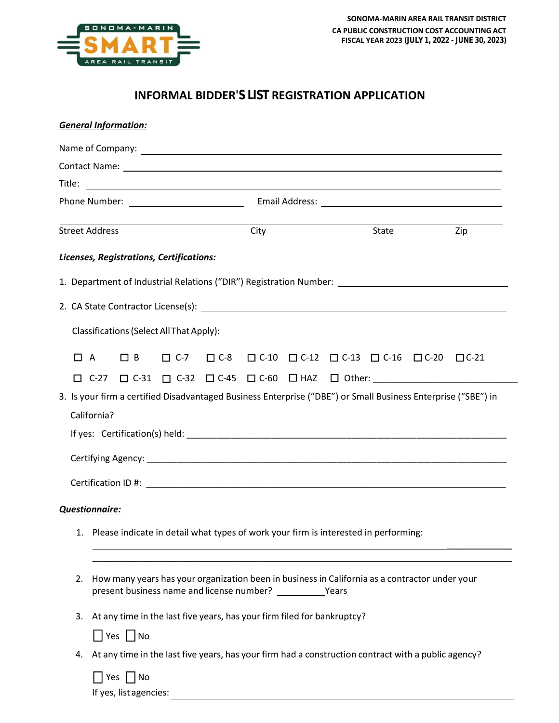

## **INFORMAL BIDDER'S LIST REGISTRATION APPLICATION**

| <b>General Information:</b>                                                                                   |                                                                                                |                                                                                                     |                                          |      |  |  |                                                                                   |  |     |                                                                                  |
|---------------------------------------------------------------------------------------------------------------|------------------------------------------------------------------------------------------------|-----------------------------------------------------------------------------------------------------|------------------------------------------|------|--|--|-----------------------------------------------------------------------------------|--|-----|----------------------------------------------------------------------------------|
|                                                                                                               |                                                                                                |                                                                                                     |                                          |      |  |  |                                                                                   |  |     |                                                                                  |
|                                                                                                               |                                                                                                |                                                                                                     |                                          |      |  |  |                                                                                   |  |     |                                                                                  |
|                                                                                                               |                                                                                                |                                                                                                     |                                          |      |  |  |                                                                                   |  |     |                                                                                  |
|                                                                                                               |                                                                                                |                                                                                                     |                                          |      |  |  |                                                                                   |  |     |                                                                                  |
| <b>Street Address</b>                                                                                         |                                                                                                |                                                                                                     |                                          | City |  |  |                                                                                   |  | Zip |                                                                                  |
|                                                                                                               |                                                                                                |                                                                                                     | Licenses, Registrations, Certifications: |      |  |  |                                                                                   |  |     |                                                                                  |
| 1. Department of Industrial Relations ("DIR") Registration Number: _________________________________          |                                                                                                |                                                                                                     |                                          |      |  |  |                                                                                   |  |     |                                                                                  |
|                                                                                                               |                                                                                                |                                                                                                     |                                          |      |  |  |                                                                                   |  |     |                                                                                  |
| Classifications (Select All That Apply):                                                                      |                                                                                                |                                                                                                     |                                          |      |  |  |                                                                                   |  |     |                                                                                  |
| П<br>$\overline{A}$                                                                                           |                                                                                                | $\Box$ B                                                                                            |                                          |      |  |  | $\Box C-7$ $\Box C-8$ $\Box C-10$ $\Box C-12$ $\Box C-13$ $\Box C-16$ $\Box C-20$ |  |     | $\Box$ C-21                                                                      |
|                                                                                                               |                                                                                                |                                                                                                     |                                          |      |  |  |                                                                                   |  |     | □ C-27 □ C-31 □ C-32 □ C-45 □ C-60 □ HAZ □ Other: ______________________________ |
| 3. Is your firm a certified Disadvantaged Business Enterprise ("DBE") or Small Business Enterprise ("SBE") in |                                                                                                |                                                                                                     |                                          |      |  |  |                                                                                   |  |     |                                                                                  |
| California?                                                                                                   |                                                                                                |                                                                                                     |                                          |      |  |  |                                                                                   |  |     |                                                                                  |
|                                                                                                               |                                                                                                |                                                                                                     |                                          |      |  |  |                                                                                   |  |     |                                                                                  |
|                                                                                                               |                                                                                                |                                                                                                     |                                          |      |  |  |                                                                                   |  |     |                                                                                  |
|                                                                                                               |                                                                                                |                                                                                                     |                                          |      |  |  |                                                                                   |  |     |                                                                                  |
|                                                                                                               |                                                                                                |                                                                                                     |                                          |      |  |  |                                                                                   |  |     |                                                                                  |
| <b>Questionnaire:</b>                                                                                         |                                                                                                |                                                                                                     |                                          |      |  |  |                                                                                   |  |     |                                                                                  |
|                                                                                                               | 1. Please indicate in detail what types of work your firm is interested in performing:         |                                                                                                     |                                          |      |  |  |                                                                                   |  |     |                                                                                  |
|                                                                                                               |                                                                                                |                                                                                                     |                                          |      |  |  |                                                                                   |  |     |                                                                                  |
| 2.                                                                                                            | How many years has your organization been in business in California as a contractor under your |                                                                                                     |                                          |      |  |  |                                                                                   |  |     |                                                                                  |
| 3.                                                                                                            | At any time in the last five years, has your firm filed for bankruptcy?                        |                                                                                                     |                                          |      |  |  |                                                                                   |  |     |                                                                                  |
|                                                                                                               | $\Box$ Yes $\Box$ No                                                                           |                                                                                                     |                                          |      |  |  |                                                                                   |  |     |                                                                                  |
| 4.                                                                                                            |                                                                                                | At any time in the last five years, has your firm had a construction contract with a public agency? |                                          |      |  |  |                                                                                   |  |     |                                                                                  |
|                                                                                                               |                                                                                                | │ Yes │ No<br>If yes, list agencies:                                                                |                                          |      |  |  |                                                                                   |  |     |                                                                                  |